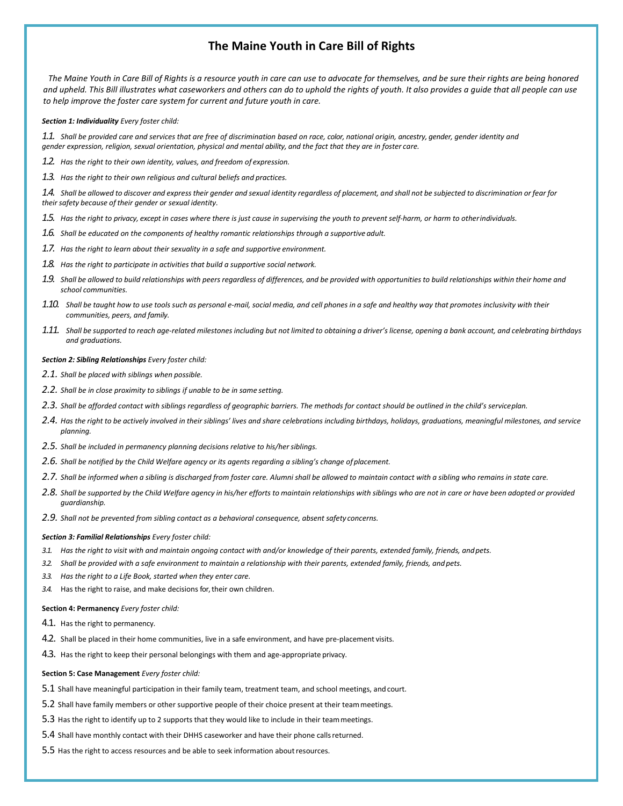# **The Maine Youth in Care Bill of Rights**

*The Maine Youth in Care Bill of Rights is a resource youth in care can use to advocate for themselves, and be sure their rights are being honored and upheld. This Bill illustrates what caseworkers and others can do to uphold the rights of youth. It also provides a guide that all people can use to help improve the foster care system for current and future youth in care.*

## *Section 1: Individuality Every foster child:*

*1.1. Shall be provided care and services that are free of discrimination based on race, color, national origin, ancestry, gender, gender identity and gender expression, religion, sexual orientation, physical and mental ability, and the fact that they are in foster care.*

*1.2. Has the right to their own identity, values, and freedom of expression.*

*1.3. Has the right to their own religious and cultural beliefs and practices.*

1.4. Shall be allowed to discover and express their gender and sexual identity regardless of placement, and shall not be subjected to discrimination or fear for *their safety because of their gender or sexual identity.*

*1.5. Has the right to privacy, except in cases where there is just cause in supervising the youth to prevent self-harm, or harm to otherindividuals.*

- *1.6. Shall be educated on the components of healthy romantic relationships through a supportive adult.*
- *1.7. Has the right to learn about their sexuality in a safe and supportive environment.*
- *1.8. Has the right to participate in activities that build a supportive social network.*
- 1.9. Shall be allowed to build relationships with peers regardless of differences, and be provided with opportunities to build relationships within their home and *school communities.*
- 1.10. Shall be taught how to use tools such as personal e-mail, social media, and cell phones in a safe and healthy way that promotes inclusivity with their *communities, peers, and family.*
- 1.11. Shall be supported to reach age-related milestones including but not limited to obtaining a driver's license, opening a bank account, and celebrating birthdays *and graduations.*

#### *Section 2: Sibling Relationships Every foster child:*

- *2.1. Shall be placed with siblings when possible.*
- *2.2. Shall be in close proximity to siblings if unable to be in same setting.*
- *2.3. Shall be afforded contact with siblings regardless of geographic barriers. The methods for contact should be outlined in the child's serviceplan.*
- 2.4. Has the right to be actively involved in their siblings' lives and share celebrations including birthdays, holidays, graduations, meaningful milestones, and service *planning.*
- *2.5. Shall be included in permanency planning decisions relative to his/hersiblings.*
- *2.6. Shall be notified by the Child Welfare agency or its agents regarding a sibling's change ofplacement.*
- 2.7. Shall be informed when a sibling is discharged from foster care. Alumni shall be allowed to maintain contact with a sibling who remains in state care.
- 2.8. Shall be supported by the Child Welfare agency in his/her efforts to maintain relationships with siblings who are not in care or have been adopted or provided *guardianship.*
- *2.9. Shall not be prevented from sibling contact as a behavioral consequence, absent safety concerns.*

### *Section 3: Familial Relationships Every foster child:*

- *3.1. Has the right to visit with and maintain ongoing contact with and/or knowledge of their parents, extended family, friends, andpets.*
- *3.2. Shall be provided with a safe environment to maintain a relationship with their parents, extended family, friends, and pets.*
- *3.3. Has the right to a Life Book, started when they enter care.*
- *3.4.* Has the right to raise, and make decisions for, their own children.

#### **Section 4: Permanency** *Every foster child:*

- 4.1. Has the right to permanency.
- 4.2. Shall be placed in their home communities, live in a safe environment, and have pre-placement visits.
- 4.3. Has the right to keep their personal belongings with them and age-appropriate privacy.

#### **Section 5: Case Management** *Every foster child:*

- 5.1 Shall have meaningful participation in their family team, treatment team, and school meetings, andcourt.
- 5.2 Shall have family members or other supportive people of their choice present at their teammeetings.
- 5.3 Has the right to identify up to 2 supports that they would like to include in their teammeetings.
- 5.4 Shall have monthly contact with their DHHS caseworker and have their phone callsreturned.
- 5.5 Has the right to access resources and be able to seek information aboutresources.